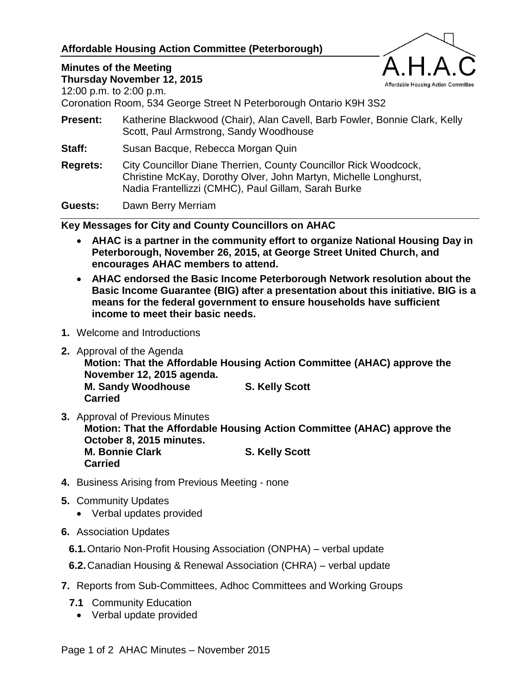## **Affordable Housing Action Committee (Peterborough)**

## **Minutes of the Meeting**

Affordable Housing Action Committee

**Thursday November 12, 2015**

12:00 p.m. to 2:00 p.m.

Coronation Room, 534 George Street N Peterborough Ontario K9H 3S2

- **Present:** Katherine Blackwood (Chair), Alan Cavell, Barb Fowler, Bonnie Clark, Kelly Scott, Paul Armstrong, Sandy Woodhouse
- **Staff:** Susan Bacque, Rebecca Morgan Quin
- **Regrets:** City Councillor Diane Therrien, County Councillor Rick Woodcock, Christine McKay, Dorothy Olver, John Martyn, Michelle Longhurst, Nadia Frantellizzi (CMHC), Paul Gillam, Sarah Burke

**Guests:** Dawn Berry Merriam

**Key Messages for City and County Councillors on AHAC**

- **AHAC is a partner in the community effort to organize National Housing Day in Peterborough, November 26, 2015, at George Street United Church, and encourages AHAC members to attend.**
- **AHAC endorsed the Basic Income Peterborough Network resolution about the Basic Income Guarantee (BIG) after a presentation about this initiative. BIG is a means for the federal government to ensure households have sufficient income to meet their basic needs.**
- **1.** Welcome and Introductions
- **2.** Approval of the Agenda

**Motion: That the Affordable Housing Action Committee (AHAC) approve the November 12, 2015 agenda. M. Sandy Woodhouse S. Kelly Scott Carried**

- **3.** Approval of Previous Minutes **Motion: That the Affordable Housing Action Committee (AHAC) approve the October 8, 2015 minutes. M. Bonnie Clark S. Kelly Scott Carried**
- **4.** Business Arising from Previous Meeting none
- **5.** Community Updates
	- Verbal updates provided
- **6.** Association Updates
	- **6.1.**Ontario Non-Profit Housing Association (ONPHA) verbal update
	- **6.2.**Canadian Housing & Renewal Association (CHRA) verbal update
- **7.** Reports from Sub-Committees, Adhoc Committees and Working Groups
	- **7.1** Community Education
		- Verbal update provided